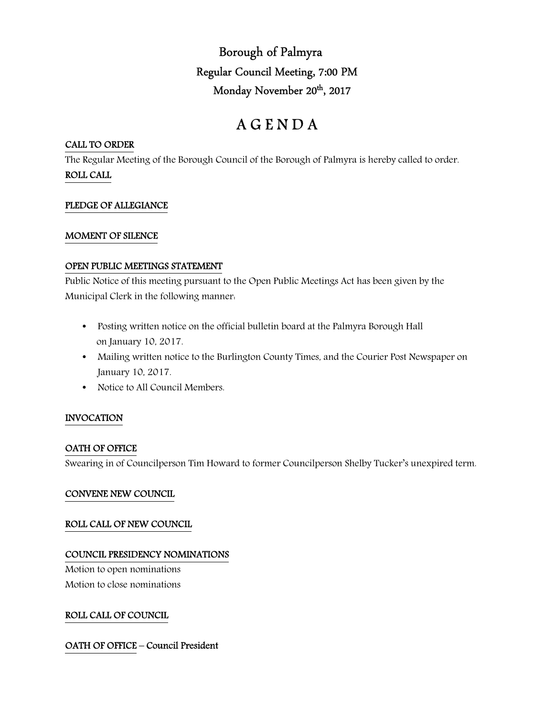Borough of Palmyra Regular Council Meeting, 7:00 PM Monday November 20<sup>th</sup>, 2017

# A G E N D A

# CALL TO ORDER

The Regular Meeting of the Borough Council of the Borough of Palmyra is hereby called to order. ROLL CALL

# PLEDGE OF ALLEGIANCE

### MOMENT OF SILENCE

### OPEN PUBLIC MEETINGS STATEMENT

Public Notice of this meeting pursuant to the Open Public Meetings Act has been given by the Municipal Clerk in the following manner:

- Posting written notice on the official bulletin board at the Palmyra Borough Hall on January 10, 2017.
- Mailing written notice to the Burlington County Times, and the Courier Post Newspaper on January 10, 2017.
- Notice to All Council Members.

# INVOCATION

# OATH OF OFFICE

Swearing in of Councilperson Tim Howard to former Councilperson Shelby Tucker's unexpired term.

### CONVENE NEW COUNCIL

### ROLL CALL OF NEW COUNCIL

### COUNCIL PRESIDENCY NOMINATIONS

Motion to open nominations Motion to close nominations

# ROLL CALL OF COUNCIL

# OATH OF OFFICE – Council President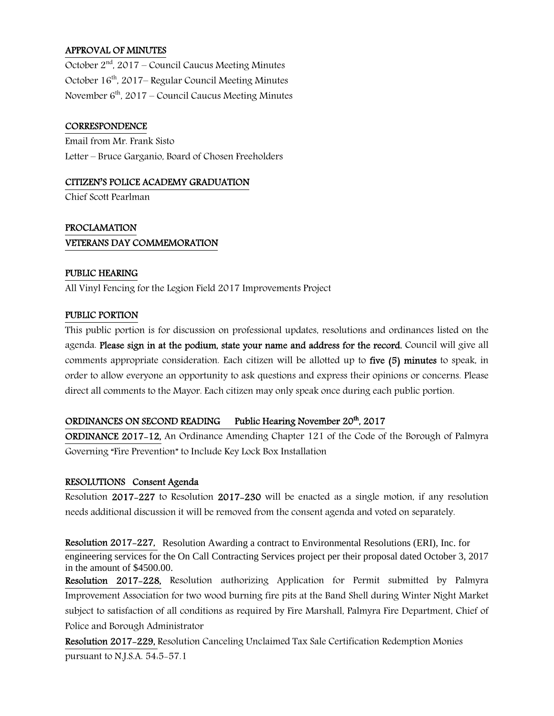# APPROVAL OF MINUTES

October 2<sup>nd</sup>, 2017 – Council Caucus Meeting Minutes October 16<sup>th</sup>, 2017– Regular Council Meeting Minutes November  $6<sup>th</sup>$ , 2017 – Council Caucus Meeting Minutes

### **CORRESPONDENCE**

Email from Mr. Frank Sisto Letter – Bruce Garganio, Board of Chosen Freeholders

### CITIZEN'S POLICE ACADEMY GRADUATION

Chief Scott Pearlman

# PROCLAMATION VETERANS DAY COMMEMORATION

### PUBLIC HEARING

All Vinyl Fencing for the Legion Field 2017 Improvements Project

### PUBLIC PORTION

This public portion is for discussion on professional updates, resolutions and ordinances listed on the agenda. Please sign in at the podium, state your name and address for the record. Council will give all comments appropriate consideration. Each citizen will be allotted up to five (5) minutes to speak, in order to allow everyone an opportunity to ask questions and express their opinions or concerns. Please direct all comments to the Mayor. Each citizen may only speak once during each public portion.

### ORDINANCES ON SECOND READING Public Hearing November 20<sup>th</sup>, 2017

ORDINANCE 2017-12, An Ordinance Amending Chapter 121 of the Code of the Borough of Palmyra Governing "Fire Prevention" to Include Key Lock Box Installation

### RESOLUTIONS Consent Agenda

Resolution 2017-227 to Resolution 2017-230 will be enacted as a single motion, if any resolution needs additional discussion it will be removed from the consent agenda and voted on separately.

Resolution 2017-227, Resolution Awarding a contract to Environmental Resolutions (ERI), Inc. for engineering services for the On Call Contracting Services project per their proposal dated October 3, 2017 in the amount of \$4500.00.

Resolution 2017-228, Resolution authorizing Application for Permit submitted by Palmyra Improvement Association for two wood burning fire pits at the Band Shell during Winter Night Market subject to satisfaction of all conditions as required by Fire Marshall, Palmyra Fire Department, Chief of Police and Borough Administrator

Resolution 2017-229, Resolution Canceling Unclaimed Tax Sale Certification Redemption Monies pursuant to N.J.S.A. 54:5-57.1